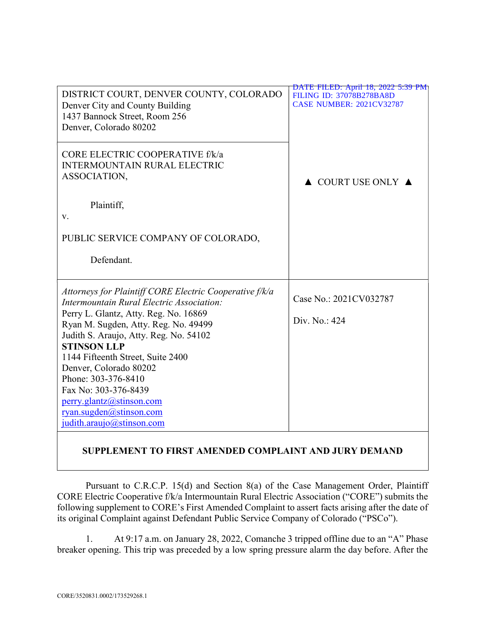|                                                         | <b>DATE FILED: April 18, 2022 5:39 PM</b> |
|---------------------------------------------------------|-------------------------------------------|
| DISTRICT COURT, DENVER COUNTY, COLORADO                 | <b>FILING ID: 37078B278BA8D</b>           |
| Denver City and County Building                         | <b>CASE NUMBER: 2021CV32787</b>           |
| 1437 Bannock Street, Room 256                           |                                           |
| Denver, Colorado 80202                                  |                                           |
|                                                         |                                           |
| CORE ELECTRIC COOPERATIVE f/k/a                         |                                           |
| INTERMOUNTAIN RURAL ELECTRIC                            |                                           |
| ASSOCIATION,                                            |                                           |
|                                                         | $\triangle$ COURT USE ONLY $\triangle$    |
|                                                         |                                           |
| Plaintiff,                                              |                                           |
| V.                                                      |                                           |
|                                                         |                                           |
| PUBLIC SERVICE COMPANY OF COLORADO,                     |                                           |
|                                                         |                                           |
| Defendant.                                              |                                           |
|                                                         |                                           |
| Attorneys for Plaintiff CORE Electric Cooperative f/k/a |                                           |
| Intermountain Rural Electric Association:               | Case No.: 2021CV032787                    |
| Perry L. Glantz, Atty. Reg. No. 16869                   |                                           |
| Ryan M. Sugden, Atty. Reg. No. 49499                    | Div. No.: 424                             |
| Judith S. Araujo, Atty. Reg. No. 54102                  |                                           |
| <b>STINSON LLP</b>                                      |                                           |
| 1144 Fifteenth Street, Suite 2400                       |                                           |
| Denver, Colorado 80202                                  |                                           |
| Phone: 303-376-8410                                     |                                           |
| Fax No: 303-376-8439                                    |                                           |
| perry.glantz@stinson.com                                |                                           |
| ryan.sugden@stinson.com                                 |                                           |
| judith.araujo@stinson.com                               |                                           |
|                                                         |                                           |

## SUPPLEMENT TO FIRST AMENDED COMPLAINT AND JURY DEMAND

Pursuant to C.R.C.P. 15(d) and Section 8(a) of the Case Management Order, Plaintiff CORE Electric Cooperative f/k/a Intermountain Rural Electric Association ("CORE") submits the following supplement to CORE's First Amended Complaint to assert facts arising after the date of its original Complaint against Defendant Public Service Company of Colorado ("PSCo").

1. At 9:17 a.m. on January 28, 2022, Comanche 3 tripped offline due to an "A" Phase breaker opening. This trip was preceded by a low spring pressure alarm the day before. After the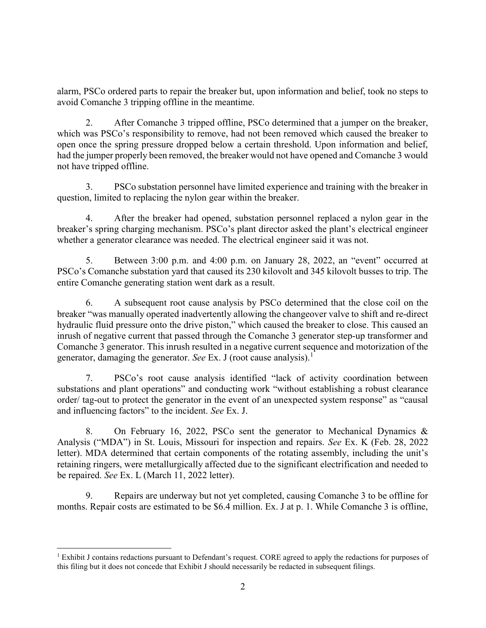alarm, PSCo ordered parts to repair the breaker but, upon information and belief, took no steps to avoid Comanche 3 tripping offline in the meantime.

2. After Comanche 3 tripped offline, PSCo determined that a jumper on the breaker, which was PSCo's responsibility to remove, had not been removed which caused the breaker to open once the spring pressure dropped below a certain threshold. Upon information and belief, had the jumper properly been removed, the breaker would not have opened and Comanche 3 would not have tripped offline.

3. PSCo substation personnel have limited experience and training with the breaker in question, limited to replacing the nylon gear within the breaker.

4. After the breaker had opened, substation personnel replaced a nylon gear in the breaker's spring charging mechanism. PSCo's plant director asked the plant's electrical engineer whether a generator clearance was needed. The electrical engineer said it was not.

5. Between 3:00 p.m. and 4:00 p.m. on January 28, 2022, an "event" occurred at PSCo's Comanche substation yard that caused its 230 kilovolt and 345 kilovolt busses to trip. The entire Comanche generating station went dark as a result.

6. A subsequent root cause analysis by PSCo determined that the close coil on the breaker "was manually operated inadvertently allowing the changeover valve to shift and re-direct hydraulic fluid pressure onto the drive piston," which caused the breaker to close. This caused an inrush of negative current that passed through the Comanche 3 generator step-up transformer and Comanche 3 generator. This inrush resulted in a negative current sequence and motorization of the generator, damaging the generator. See Ex. J (root cause analysis).<sup>1</sup>

7. PSCo's root cause analysis identified "lack of activity coordination between substations and plant operations" and conducting work "without establishing a robust clearance order/ tag-out to protect the generator in the event of an unexpected system response" as "causal and influencing factors" to the incident. See Ex. J.

8. On February 16, 2022, PSCo sent the generator to Mechanical Dynamics & Analysis ("MDA") in St. Louis, Missouri for inspection and repairs. See Ex. K (Feb. 28, 2022 letter). MDA determined that certain components of the rotating assembly, including the unit's retaining ringers, were metallurgically affected due to the significant electrification and needed to be repaired. See Ex. L (March 11, 2022 letter).

9. Repairs are underway but not yet completed, causing Comanche 3 to be offline for months. Repair costs are estimated to be \$6.4 million. Ex. J at p. 1. While Comanche 3 is offline,

 $\overline{a}$ <sup>1</sup> Exhibit J contains redactions pursuant to Defendant's request. CORE agreed to apply the redactions for purposes of this filing but it does not concede that Exhibit J should necessarily be redacted in subsequent filings.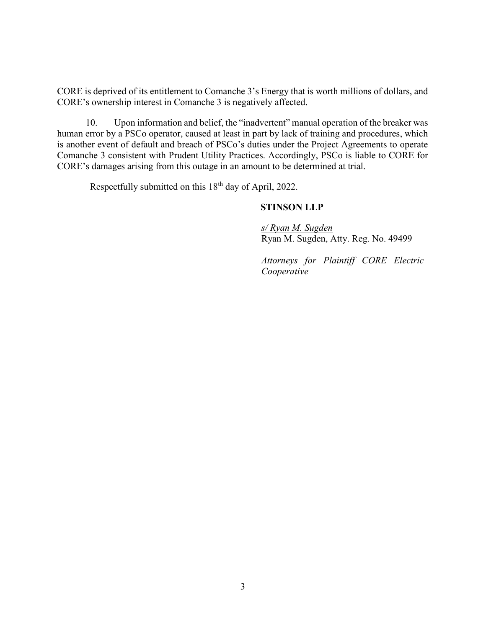CORE is deprived of its entitlement to Comanche 3's Energy that is worth millions of dollars, and CORE's ownership interest in Comanche 3 is negatively affected.

10. Upon information and belief, the "inadvertent" manual operation of the breaker was human error by a PSCo operator, caused at least in part by lack of training and procedures, which is another event of default and breach of PSCo's duties under the Project Agreements to operate Comanche 3 consistent with Prudent Utility Practices. Accordingly, PSCo is liable to CORE for CORE's damages arising from this outage in an amount to be determined at trial.

Respectfully submitted on this 18<sup>th</sup> day of April, 2022.

## STINSON LLP

s/ Ryan M. Sugden Ryan M. Sugden, Atty. Reg. No. 49499

Attorneys for Plaintiff CORE Electric Cooperative